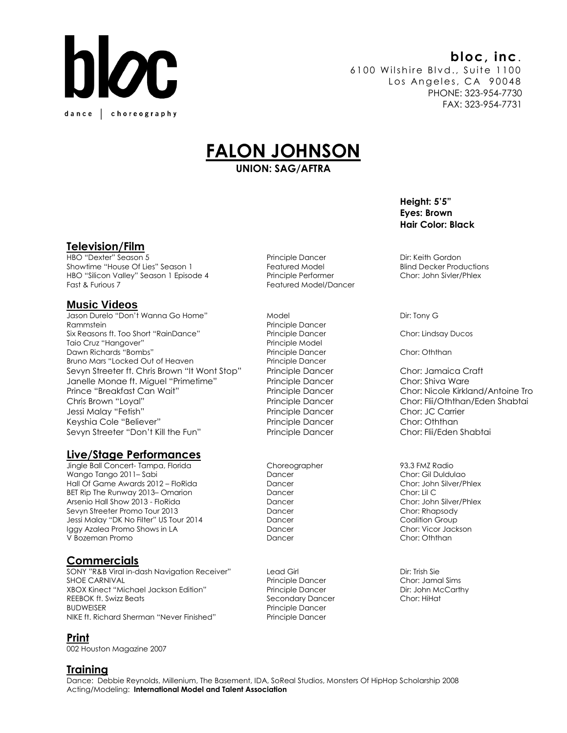

# **bloc, inc**.

6100 Wilshire Blvd., Suite 1100 Los Angeles, CA 90048 PHONE: 323-954-7730 FAX: 323-954-7731

# **FALON JOHNSON**

**UNION: SAG/AFTRA**

#### **Television/Film**

HBO "Dexter" Season 5 Principle Dancer Dir: Keith Gordon Showtime "House Of Lies" Season 1 The Showtime "House Of Lies" Season 1 The Featured Model Blind Decker Productions HBO "Silicon Valley" Season 1 Episode 4 Principle Performer Chor: John Sivler/Phlex<br>Fast & Furious 7

#### **Music Videos**

Jason Durelo "Don't Wanna Go Home" Model November 2016 November 2017 Dir: Tony G Rammstein **Principle Dancer** Six Reasons ft. Too Short "RainDance" Principle Dancer Chor: Lindsay Ducos Taio Cruz "Hangover" et al. et al. et al. et al. et al. et al. et al. et al. et al. et al. et al. et al. et al Dawn Richards "Bombs" Principle Dancer Chor: Oththan Bruno Mars "Locked Out of Heaven Principle Dancer Sevyn Streeter ft. Chris Brown "It Wont Stop" Principle Dancer Chor: Jamaica Craft Janelle Monae ft. Miguel "Primetime" Principle Dancer Chor: Shiva Ware Prince "Breakfast Can Wait" Principle Dancer Chor: Nicole Kirkland/Antoine Tro Chris Brown "Loyal" Principle Dancer Chor: Flii/Oththan/Eden Shabtai Jessi Malay "Fetish" Principle Dancer Chor: JC Carrier Keyshia Cole "Believer" etc. Principle Dancer Chor: Oththan Sevyn Streeter "Don't Kill the Fun" Principle Dancer Chor: Flii/Eden Shabtai

# **Live/Stage Performances**

Jingle Ball Concert- Tampa, Florida Choreographer 93.3 FMZ Radio Wango Tango 2011– Sabi Dancer Dancer Chor: Gil Duldulao Hall Of Game Awards 2012 – FloRida **Dancer** Dancer Chor: John Silver/Phlex BET Rip The Runway 2013– Omarion **Dancer** Dancer Chor: Lil C Arsenio Hall Show 2013 - FloRida **Dancer Chorsense Chorse** Chor: John Silver/Phlex Sevyn Streeter Promo Tour 2013 Dancer Chor: Rhapsody Jessi Malay "DK No Filter" US Tour 2014 Dancer Coalition Group Iggy Azalea Promo Shows in LA Dancer V Bozeman Promo Dancer Chor: Oththan

# **Commercials**

SONY "R&B Viral in-dash Navigation Receiver" Lead Girl Dir: Trish Sie XBOX Kinect "Michael Jackson Edition" Principle Dancer Dir: John McCarthy REEBOK ft. Swizz Beats Secondary Dancer Chor: HiHat BUDWEISER Principle Dancer NIKE ft. Richard Sherman "Never Finished" Principle Dancer

# **Print**

002 Houston Magazine 2007

#### **Training**

Featured Model/Dancer

Principle Dancer

**Height: 5'5" Eyes: Brown Hair Color: Black**

Dance: Debbie Reynolds, Millenium, The Basement, IDA, SoReal Studios, Monsters Of HipHop Scholarship 2008 Acting/Modeling: **International Model and Talent Association**